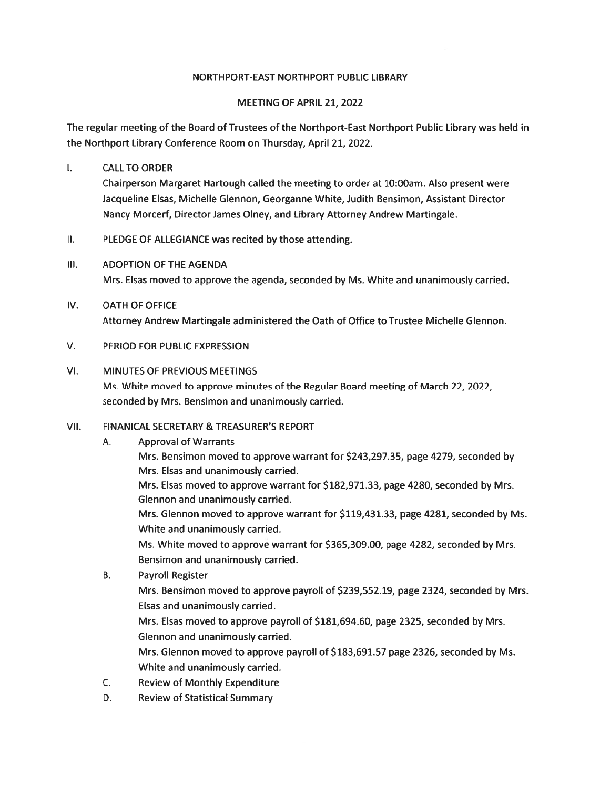#### NORTHPORT-EAST NORTHPORT PUBLIC LIBRARY

#### MEETING OF APRIL 21, 2022

The regular meeting of the Board of Trustees of the Northport-East Northport Public Library was held in the Northport Library Conference Room on Thursday, April 21, 2022.

 $\mathbf{L}$ CALLTO ORDER

> Chairperson Margaret Hartough called the meeting to order at 10:00am. Also presen<sup>t</sup> were Jacqueline Elsas, Michelle Glennon, Georganne White, Judith Bensimon, Assistant Director Nancy Morcerf, Director James Olney, and Library Attorney Andrew Martingale.

- II. PLEDGE OF ALLEGIANCE was recited by those attending.
- III. ADOPTION OF THE AGENDA Mrs. Elsas moved to approve the agenda, seconded by Ms. White and unanimously carried.
- IV. OATH OF OFFICE Attorney Andrew Martingale administered the Oath of Office to Trustee Michelle Glennon.
- V. PERIOD FOR PUBLIC EXPRESSION
- VI. MINUTES OF PREVIOUS MEETINGS Ms. White moved to approve minutes of the Regular Board meeting of March 22, 2022, seconded by Mrs. Bensimon and unanimously carried.
- VII. FINANICAL SECRETARY & TREASURER'S REPORT
	- A. Approval of Warrants
		- Mrs. Bensimon moved to approve warrant for \$243,297.35, page 4279, seconded by Mrs. Elsas and unanimously carried.

Mrs. Elsas moved to approve warrant for \$182,971.33, page 4280, seconded by Mrs. Glennon and unanimously carried.

Mrs. Glennon moved to approve warrant for \$119,431.33, page 4281, seconded by Ms. White and unanimously carried.

Ms. White moved to approve warrant for \$365,309.00, page 4282, seconded by Mrs. Bensimon and unanimously carried.

B. Payroll Register

Mrs. Bensimon moved to approve payroll of \$239,552.19, page 2324, seconded by Mrs. Elsas and unanimously carried.

Mrs. Elsas moved to approve payroll of \$181,694.60, page 2325, seconded by Mrs. Glennon and unanimously carried.

Mrs. Glennon moved to approve payroll of \$183,691.57 page 2326, seconded by Ms. White and unanimously carried.

- C. Review of Monthly Expenditure
- D. Review of Statistical Summary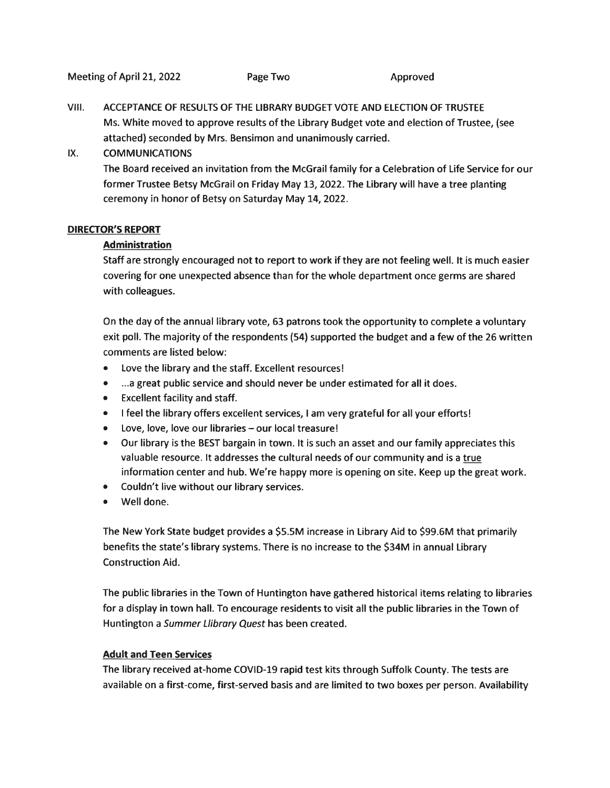VIII. ACCEPTANCE OF RESULTS OF THE LIBRARY BUDGET VOTE AND ELECTION OF TRUSTEE Ms. White moved to approve results of the Library Budget vote and election of Trustee, (see attached) seconded by Mrs. Bensimon and unanimously carried.

#### IX. COMMUNICATIONS

The Board received an invitation from the McGrail family for <sup>a</sup> Celebration of Life Service for our former Trustee Betsy McGrail on Friday May 13, 2022. The Library will have <sup>a</sup> tree planting ceremony in honor of Betsy on Saturday May 14, 2022.

#### DIRECTOR'S REPORT

#### Administration

Staff are strongly encouraged not to repor<sup>t</sup> to work if they are not feeling well. It is much easier covering for one unexpected absence than for the whole department once germs are shared with colleagues.

On the day of the annual library vote, 63 patrons took the opportunity to complete <sup>a</sup> voluntary exit poll. The majority of the respondents (54) supported the budget and <sup>a</sup> few of the 26 written comments are listed below:

- Love the library and the staff. Excellent resources!
- ...a grea<sup>t</sup> public service and should never be under estimated for all it does.
- Excellent facility and staff.
- $\bullet$  I feel the library offers excellent services, I am very grateful for all your efforts
- Love, love, love our libraries our local treasure!
- Our library is the BEST bargain in town. It is such an asset and our family appreciates this valuable resource. It addresses the cultural needs of our community and is <sup>a</sup> true information center and hub. We're happy more is opening on site. Keep up the grea<sup>t</sup> work.
- Couldn't live without our library services.
- Well done.

The New York State budget provides <sup>a</sup> \$5.5M increase in Library Aid to \$99.6M that primarily benefits the state's library systems. There is no increase to the \$34M in annual Library Construction Aid.

The public libraries in the Town of Huntington have gathered historical items relating to libraries for <sup>a</sup> display in town hall. To encourage residents to visit all the public libraries in the Town of Huntington <sup>a</sup> Summer Llibrary Quest has been created.

#### Adult and Teen Services

The library received at-home COVID-19 rapid test kits through Suffolk County. The tests are available on <sup>a</sup> first-come, first-served basis and are limited to two boxes per person. Availability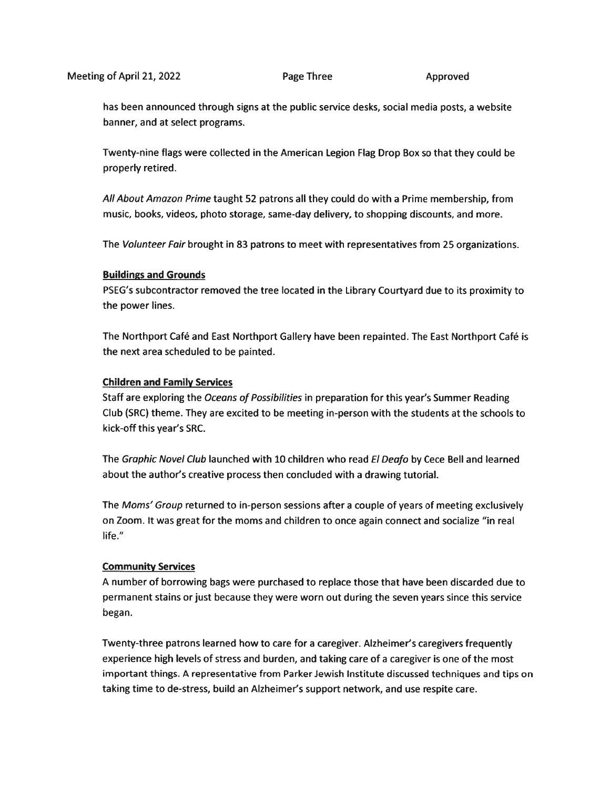has been announced through signs at the public service desks, social media posts, <sup>a</sup> website banner, and at select programs.

Twenty-nine flags were collected in the American Legion Flag Drop Box so that they could be properly retired.

All About Amazon Prime taught 52 patrons all they could do with <sup>a</sup> Prime membership, from music, books, videos, photo storage, same-day delivery, to shopping discounts, and more.

The Volunteer Fair brought in 83 patrons to meet with representatives from 25 organizations.

#### Buildings and Grounds

PSEG's subcontractor removed the tree located in the Library Courtyard due to its proximity to the power lines.

The Northport Café and East Northport Gallery have been repainted. The East Northport Café is the next area scheduled to be painted.

#### Children and Family Services

Staff are exploring the Oceans of Possibilities in preparation for this year's Summer Reading Club (SRC) theme. They are excited to be meeting in-person with the students at the schools to kick-off this year's SRC.

The Graphic Novel Club launched with 10 children who read El Deafo by Cece Bell and learned about the author's creative process then concluded with <sup>a</sup> drawing tutorial.

The Moms' Group returned to in-person sessions after <sup>a</sup> couple of years of meeting exclusively on Zoom. It was grea<sup>t</sup> for the moms and children to once again connect and socialize "in real life."

#### Community Services

A number of borrowing bags were purchased to replace those that have been discarded due to permanen<sup>t</sup> stains or just because they were worn out during the seven years since this service began.

Twenty-three patrons learned how to care for <sup>a</sup> caregiver. Alzheimer's caregivers frequently experience high levels of stress and burden, and taking care of <sup>a</sup> caregiver is one of the most important things. A representative from Parker Jewish Institute discussed techniques and tips on taking time to de-stress, build an Alzheimer's suppor<sup>t</sup> network, and use respite care.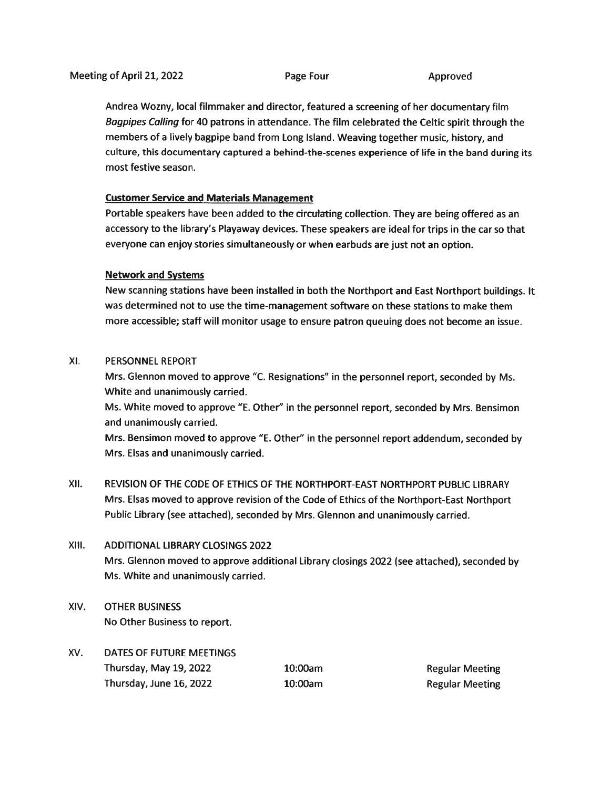Andrea Wozny, local filmmaker and director, featured <sup>a</sup> screening of her documentary film Bagpipes Calling for <sup>40</sup> patrons in attendance. The film celebrated the Celtic spirit through the members of <sup>a</sup> lively bagpipe band from Long Island. Weaving together music, history, and culture, this documentary captured <sup>a</sup> behind-the-scenes experience of life in the band during its most festive season.

#### Customer Service and Materials Management

Portable speakers have been added to the circulating collection. They are being offered as an accessory to the library's Playaway devices. These speakers are ideal for trips in the car so that everyone can enjoy stories simultaneously or when earbuds are just not an option.

#### Network and Systems

New scanning stations have been installed in both the Northport and East Northport buildings. It was determined not to use the time-management software on these stations to make them more accessible; staff will monitor usage to ensure patron queuing does not become an issue.

#### XI. PERSONNEL REPORT

Mrs. Glennon moved to approve "C. Resignations" in the personne<sup>l</sup> report, seconded by Ms. White and unanimously carried.

Ms. White moved to approve "E. Other" in the personne<sup>l</sup> report, seconded by Mrs. Bensimon and unanimously carried.

Mrs. Bensimon moved to approve "E. Other" in the personne<sup>l</sup> repor<sup>t</sup> addendum, seconded by Mrs. Elsas and unanimously carried.

XII. REVISION OF THE CODE OF ETHICS OF THE NORTHPORT-EAST NORTHPORT PUBliC LIBRARY Mrs. Elsas moved to approve revision of the Code of Ethics of the Northport-East Northport Public Library (see attached), seconded by Mrs. Glennon and unanimously carried.

## XIII. ADDITIONAL LIBRARY CLOSINGS 2022

Mrs. Glennon moved to approve additional Library closings <sup>2022</sup> (see attached), seconded by Ms. White and unanimously carried.

- XIV. OTHER BUSINESS No Other Business to report.
- XV. DATES OF FUTURE MEETINGS Thursday, May 19, 2022 10:00am Regular Meeting Thursday, June 16, 2022 10:00am **Regular Meeting**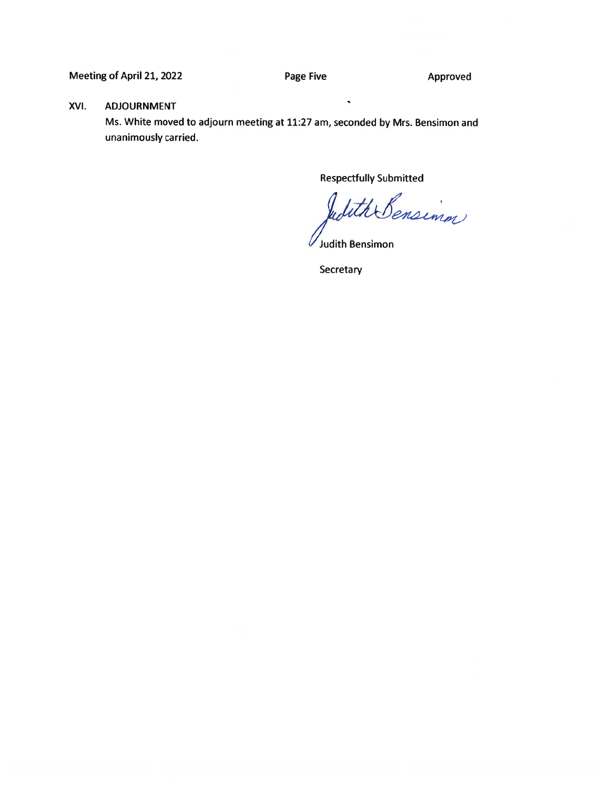Meeting of April 21, 2022 **Page Five Approved** 

#### XVI. ADJOURNMENT

Ms. White moved to adjourn meeting at 11:27 am, seconded by Mrs. Bensimon and unanimously carried.

Respectfully Submitted

With Bensimm

Judith Bensimon

**Secretary**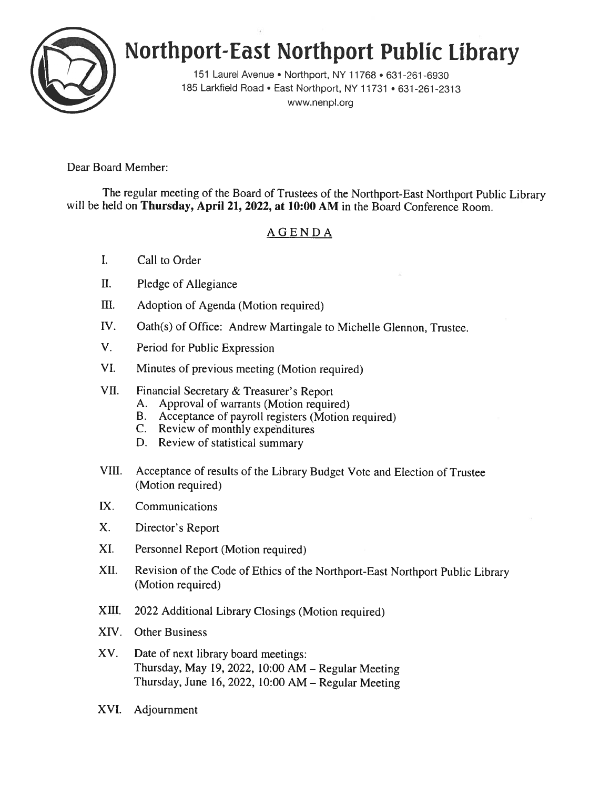

# Northport-East Northport Public library

151 Laurel Avenue . Northport, NY 11768 . 631-261-6930 185 Larkfield Road • East Northport, NY 11731 • 631-261-2313 www.nenpl.org

Dear Board Member:

The regular meeting of the Board of Trustees of the Northport-East Northport Public Library will be held on Thursday, April 21, 2022, at 10:00 AM in the Board Conference Room.

# AGENDA

- I. Call to Order
- II. Pledge of Allegiance
- III. Adoption of Agenda (Motion required)
- IV. Oath(s) of Office: Andrew Martingale to Michelle Glennon, Trustee.
- V. Period for Public Expression
- VI. Minutes of previous meeting (Motion required)
- VII. Financial Secretary & Treasurer's Report
	- A. Approval of warrants (Motion required)
	- B. Acceptance of payroll registers (Motion required)
	- C. Review of monthly expenditures
	- D. Review of statistical summary
- VIII. Acceptance of results of the Library Budget Vote and Election of Trustee (Motion required)
- LX. Communications
- X. Director's Report
- XI. Personnel Report (Motion required)
- XII. Revision of the Code of Ethics of the Northport-East Northport Public Library (Motion required)
- XIII. 2022 Additional Library Closings (Motion required)
- XIV. Other Business
- XV. Date of next library board meetings: Thursday, May 19, 2022, 10:00 AM — Regular Meeting Thursday, June 16, 2022, 10:00 AM — Regular Meeting
- XVI. Adjournment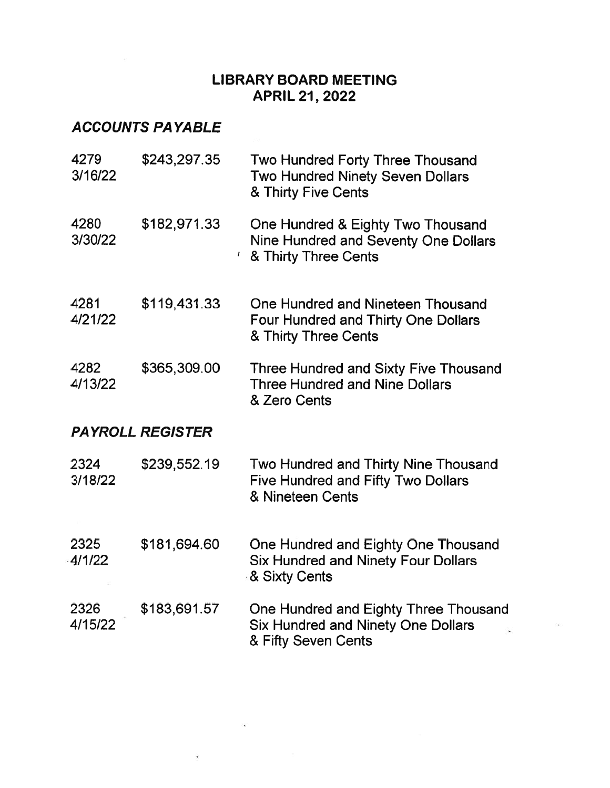# LIBRARY BOARD MEETING APRIL 21, 2022

# ACCOUNTS PAYABLE

| 4279<br>3/16/22 | \$243,297.35            | Two Hundred Forty Three Thousand<br>Two Hundred Ninety Seven Dollars<br>& Thirty Five Cents                  |
|-----------------|-------------------------|--------------------------------------------------------------------------------------------------------------|
| 4280<br>3/30/22 | \$182,971.33<br>L       | One Hundred & Eighty Two Thousand<br>Nine Hundred and Seventy One Dollars<br>& Thirty Three Cents            |
| 4281<br>4/21/22 | \$119,431.33            | One Hundred and Nineteen Thousand<br><b>Four Hundred and Thirty One Dollars</b><br>& Thirty Three Cents      |
| 4282<br>4/13/22 | \$365,309.00            | <b>Three Hundred and Sixty Five Thousand</b><br><b>Three Hundred and Nine Dollars</b><br>& Zero Cents        |
|                 | <b>PAYROLL REGISTER</b> |                                                                                                              |
| 2324<br>3/18/22 | \$239,552.19            | <b>Two Hundred and Thirty Nine Thousand</b><br><b>Five Hundred and Fifty Two Dollars</b><br>& Nineteen Cents |
| 2325<br>4/1/22  | \$181,694.60            | One Hundred and Eighty One Thousand<br><b>Six Hundred and Ninety Four Dollars</b><br>& Sixty Cents           |
| 2326<br>4/15/22 | \$183,691.57            | One Hundred and Eighty Three Thousand<br><b>Six Hundred and Ninety One Dollars</b><br>& Fifty Seven Cents    |

 $\sim$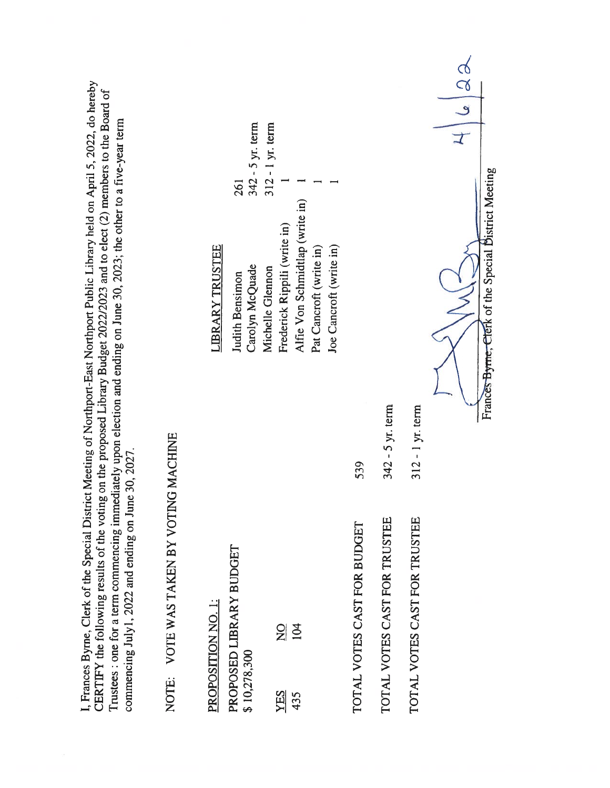| . Frances Byrne, Clerk of the Special District Meeting of Northport-East Northport Public Library held on April 5, 2022, do hereby<br>CERTIFY the following results of the voting on the proposed Library Budget 2022/2023 and to elect (2) members to the Board of<br>Trustees : one for a term commencing immediately upon election and ending on June 30, 2023; the other to a five-year term<br>commencing July1, 2022 and ending on June 30, 2027. |                  |                                                                                                                                           |                         |
|---------------------------------------------------------------------------------------------------------------------------------------------------------------------------------------------------------------------------------------------------------------------------------------------------------------------------------------------------------------------------------------------------------------------------------------------------------|------------------|-------------------------------------------------------------------------------------------------------------------------------------------|-------------------------|
| NOTE: VOTE WAS TAKEN BY VOTIN                                                                                                                                                                                                                                                                                                                                                                                                                           | <b>GMACHINE</b>  |                                                                                                                                           |                         |
| PROPOSITION NO. 1:                                                                                                                                                                                                                                                                                                                                                                                                                                      |                  | <b>LIBRARY TRUSTEE</b>                                                                                                                    |                         |
| PROPOSED LIBRARY BUDGET<br>\$10,278,300                                                                                                                                                                                                                                                                                                                                                                                                                 |                  | Carolyn McQuade<br><b>Judith Bensimon</b>                                                                                                 | 342 - 5 yr. term<br>261 |
| 104<br>$\frac{1}{2}$<br><b>ZES</b><br>435                                                                                                                                                                                                                                                                                                                                                                                                               |                  | Alfie Von Schmidtlap (write in)<br>Frederick Rippili (write in)<br>Joe Cancroft (write in)<br>Pat Cancroft (write in)<br>Michelle Glennon | 312 - 1 yr. term        |
| TOTAL VOTES CAST FOR BUDGET                                                                                                                                                                                                                                                                                                                                                                                                                             | 539              |                                                                                                                                           |                         |
| TOTAL VOTES CAST FOR TRUSTEE                                                                                                                                                                                                                                                                                                                                                                                                                            | 342 - 5 yr. term |                                                                                                                                           |                         |
| TOTAL VOTES CAST FOR TRUSTEE                                                                                                                                                                                                                                                                                                                                                                                                                            | 312 - 1 yr. term |                                                                                                                                           |                         |
|                                                                                                                                                                                                                                                                                                                                                                                                                                                         |                  | Frances Byrne, Clerk of the Special District Meeting                                                                                      | ক<br>ব                  |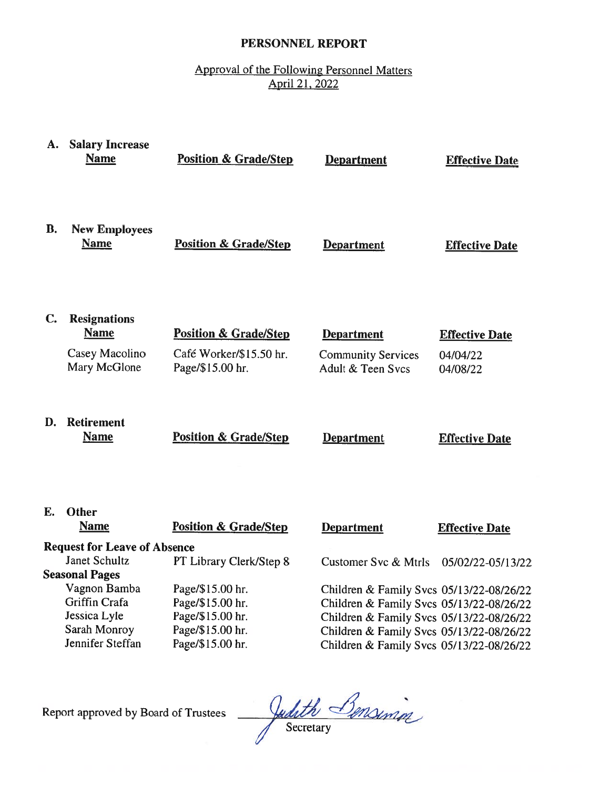## PERSONNEL REPORT

# Approval of the Following Personnel Matters April 21, 2022

|    | A. Salary Increase<br><b>Name</b>      | <b>Position &amp; Grade/Step</b>            | <b>Department</b>                              | <b>Effective Date</b> |
|----|----------------------------------------|---------------------------------------------|------------------------------------------------|-----------------------|
| В. | <b>New Employees</b><br><b>Name</b>    | <b>Position &amp; Grade/Step</b>            | <b>Department</b>                              | <b>Effective Date</b> |
| C. | <b>Resignations</b><br><b>Name</b>     | <b>Position &amp; Grade/Step</b>            | <b>Department</b>                              | <b>Effective Date</b> |
|    | Casey Macolino<br>Mary McGlone         | Café Worker/\$15.50 hr.<br>Page/\$15.00 hr. | <b>Community Services</b><br>Adult & Teen Svcs | 04/04/22<br>04/08/22  |
| D. | <b>Retirement</b><br><b>Name</b>       | <b>Position &amp; Grade/Step</b>            | <b>Department</b>                              | <b>Effective Date</b> |
| Е. | Other<br><b>Name</b>                   | <b>Position &amp; Grade/Step</b>            | <b>Department</b>                              | <b>Effective Date</b> |
|    | <b>Request for Leave of Absence</b>    |                                             |                                                |                       |
|    | Janet Schultz<br><b>Seasonal Pages</b> | PT Library Clerk/Step 8                     | Customer Svc & Mtrls                           | 05/02/22-05/13/22     |
|    | Vagnon Bamba                           | Page/\$15.00 hr.                            | Children & Family Svcs 05/13/22-08/26/22       |                       |
|    | Griffin Crafa                          | Page/\$15.00 hr.                            | Children & Family Svcs 05/13/22-08/26/22       |                       |
|    | Jessica Lyle                           | Page/\$15.00 hr.                            | Children & Family Svcs 05/13/22-08/26/22       |                       |
|    | Sarah Monroy                           | Page/\$15.00 hr.                            | Children & Family Svcs 05/13/22-08/26/22       |                       |
|    | Jennifer Steffan                       | Page/\$15.00 hr.                            | Children & Family Svcs 05/13/22-08/26/22       |                       |

Report approved by Board of Trustees

Judith Bensining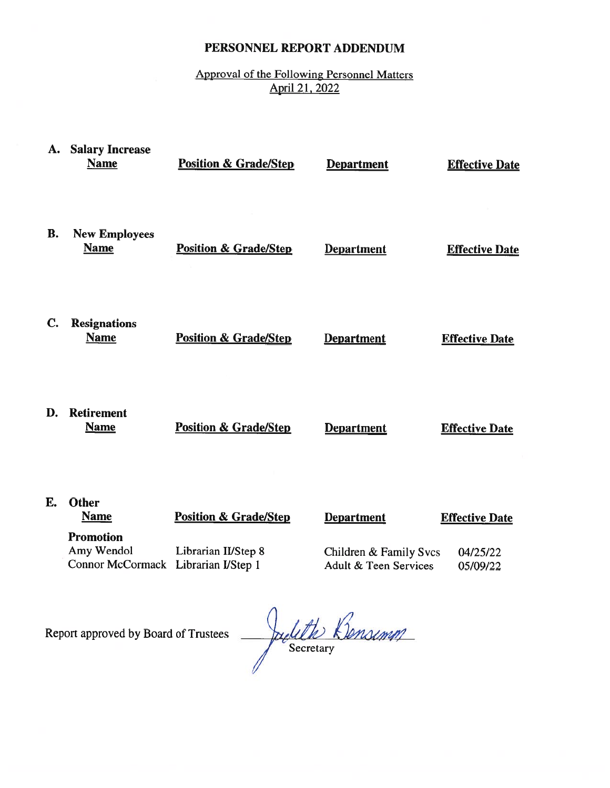# PERSONNEL REPORT ADDENDUM

# Approval of the Following Personnel Matters April 21, 2022

| A.        | <b>Salary Increase</b><br><b>Name</b>                                 | <b>Position &amp; Grade/Step</b> | <b>Department</b>                               | <b>Effective Date</b> |
|-----------|-----------------------------------------------------------------------|----------------------------------|-------------------------------------------------|-----------------------|
| <b>B.</b> | <b>New Employees</b><br><b>Name</b>                                   | <b>Position &amp; Grade/Step</b> | <b>Department</b>                               | <b>Effective Date</b> |
| C.        | <b>Resignations</b><br><b>Name</b>                                    | <b>Position &amp; Grade/Step</b> | <b>Department</b>                               | <b>Effective Date</b> |
| D.        | <b>Retirement</b><br><b>Name</b>                                      | <b>Position &amp; Grade/Step</b> | <b>Department</b>                               | <b>Effective Date</b> |
| E.        | <b>Other</b><br><b>Name</b>                                           | <b>Position &amp; Grade/Step</b> | <b>Department</b>                               | <b>Effective Date</b> |
|           | <b>Promotion</b><br>Amy Wendol<br>Connor McCormack Librarian I/Step 1 | Librarian II/Step 8              | Children & Family Svcs<br>Adult & Teen Services | 04/25/22<br>05/09/22  |
|           |                                                                       |                                  | $\sim$                                          |                       |

Report approved by Board of Trustees

Judith Bensimm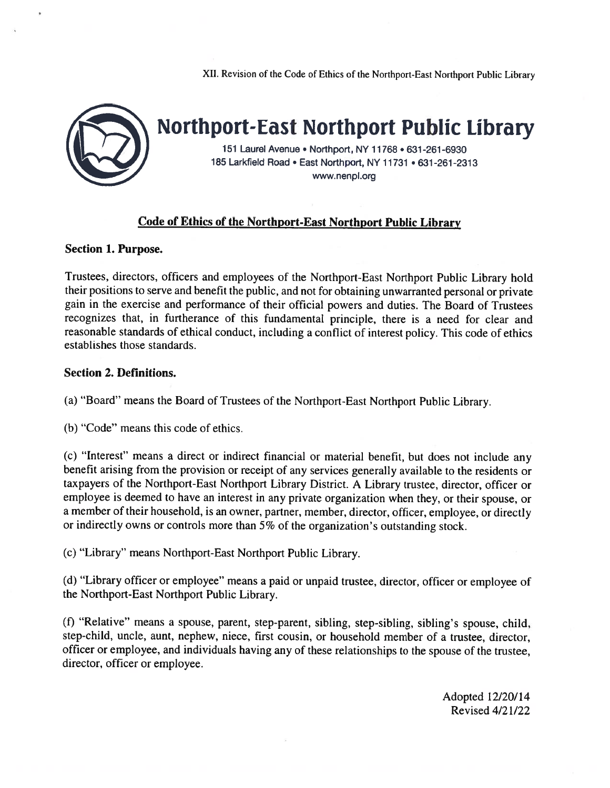



Northport-East Northport Public Library

151 Laurel Avenue • Northport, NY 11768 • 631 -261-6930 185 Larkfield Road • East Northport, NY 11731 • 631-261-2313 www.nenpl.org

#### Code of Ethics of the Northport-East Northport Public Library

#### Section 1. Purpose.

Trustees, directors, officers and employees of the Northport-East Northport Public Library hold their positions to serve and benefit the public, and not for obtaining unwarranted persona<sup>l</sup> or private gain in the exercise and performance of their official powers and duties. The Board of Trustees recognizes that, in furtherance of this fundamental principle, there is <sup>a</sup> need for clear and reasonable standards of ethical conduct, including <sup>a</sup> conflict of interest policy. This code of ethics establishes those standards.

#### Section 2. Definitions.

(a) "Board" means the Board of Trustees of the Northport-East Northport Public Library.

(b) "Code" means this code of ethics.

(c) "Interest" means <sup>a</sup> direct or indirect financial or material benefit, but does not include any benefit arising from the provision or receipt of any services generally available to the residents or taxpayers of the Northport-East Northport Library District. <sup>A</sup> Library trustee, director, officer or employee is deemed to have an interest in any private organization when they, or their spouse, or <sup>a</sup> member of their household, is an owner, partner, member, director, officer, employee, or directly or indirectly owns or controls more than 5% of the organization's outstanding stock.

(c) "Library" means Northport-East Northport Public Library.

(d) "Library officer or employee" means <sup>a</sup> paid or unpaid trustee, director, officer or employee of the Northport-East Northport Public Library.

(f) "Relative" means <sup>a</sup> spouse, parent, step-parent, sibling, step-sibling, sibling's spouse, child, step-child, uncle, aunt, nephew, niece, first cousin, or household member of <sup>a</sup> trustee, director, officer or employee, and individuals having any of these relationships to the spouse of the trustee, director, officer or employee.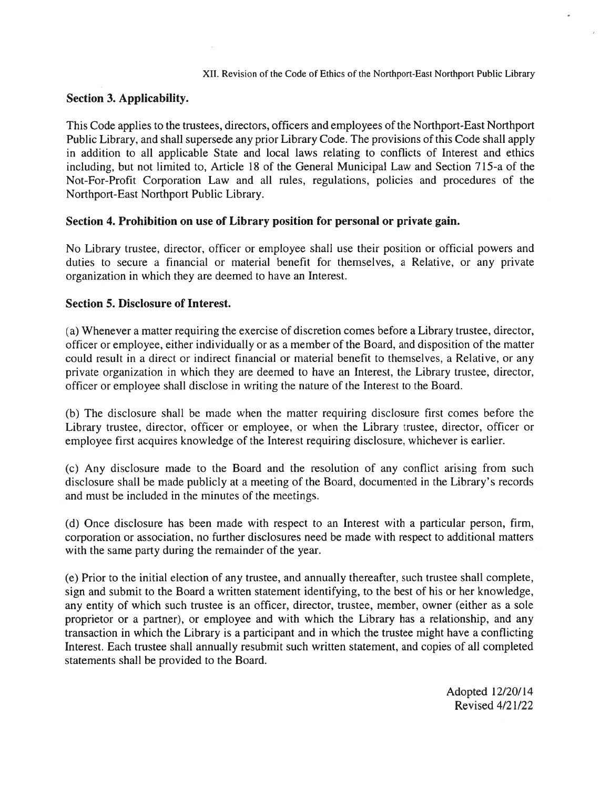#### Section 3. Applicability.

This Code applies to the trustees, directors, officers and employees of the Northport-East Northport Public Library, and shall supersede any prior Library Code. The provisions of this Code shall apply in addition to all applicable State and local laws relating to conflicts of Interest and ethics including, but not limited to, Article 18 of the General Municipal Law and Section 715-a of the Not-For-Profit Corporation Law and all rules, regulations, policies and procedures of the Northport-East Northport Public Library.

#### Section 4. Prohibition on use of Library position for personal or private gain.

No Library trustee, director, officer or employee shall use their position or official powers and duties to secure <sup>a</sup> financial or material benefit for themselves, <sup>a</sup> Relative, or any private organization in which they are deemed to have an Interest.

#### Section 5. Disclosure of Interest.

(a) Whenever <sup>a</sup> matter requiring the exercise of discretion comes before <sup>a</sup> Library trustee, director, officer or employee, either individually or as <sup>a</sup> member of the Board, and disposition of the matter could result in <sup>a</sup> direct or indirect financial or material benefit to themselves, <sup>a</sup> Relative, or any private organization in which they are deemed to have an Interest, the Library trustee, director, officer or employee shall disclose in writing the nature of the Interest to the Board.

(b) The disclosure shall be made when the matter requiring disclosure first comes before the Library trustee, director, officer or employee, or when the Library trustee, director, officer or employee first acquires knowledge of the Interest requiring disclosure, whichever is earlier.

(c) Any disclosure made to the Board and the resolution of any conflict arising from such disclosure shall be made publicly at <sup>a</sup> meeting of the Board, documented in the Library's records and must be included in the minutes of the meetings.

(d) Once disclosure has been made with respec<sup>t</sup> to an Interest with <sup>a</sup> particular person, firm, corporation or association, no further disclosures need be made with respec<sup>t</sup> to additional matters with the same party during the remainder of the year.

(e) Prior to the initial election of any trustee, and annually thereafter, such trustee shall complete, sign and submit to the Board <sup>a</sup> written statement identifying, to the best of his or her knowledge, any entity of which such trustee is an officer, director, trustee, member, owner (either as <sup>a</sup> sole proprietor or <sup>a</sup> partner), or employee and with which the Library has <sup>a</sup> relationship, and any transaction in which the Library is <sup>a</sup> participant and in which the trustee might have <sup>a</sup> conflicting Interest, Each trustee shall annually resubmit such written statement, and copies of all completed statements shall be provided to the Board.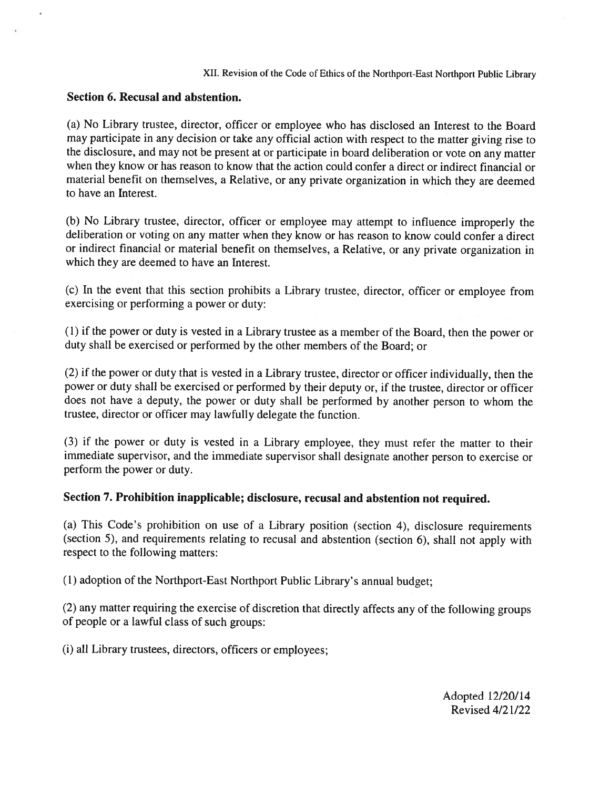#### Section 6. Recusal and abstention.

(a) No Library trustee, director, officer or employee who has disclosed an Interest to the Board may participate in any decision or take any official action with respec<sup>t</sup> to the matter <sup>g</sup>iving rise to the disclosure, and may not be presen<sup>t</sup> at or participate in board deliberation or vote on any matter when they know or has reason to know that the action could confer <sup>a</sup> direct or indirect financial or material benefit on themselves, <sup>a</sup> Relative, or any private organization in which they are deemed to have an Interest.

(b) No Library trustee, director, officer or employee may attempt to influence improperly the deliberation or voting on any matter when they know or has reason to know could confer <sup>a</sup> direct or indirect financial or material benefit on themselves, <sup>a</sup> Relative, or any private organization in which they are deemed to have an Interest.

(c) In the event that this section prohibits <sup>a</sup> Library trustee, director, officer or employee from exercising or performing <sup>a</sup> power or duty:

(1) if the power or duty is vested in <sup>a</sup> Library trustee as <sup>a</sup> member of the Board, then the power or duty shall be exercised or performed by the other members of the Board; or

(2) if the power or duty that is vested in <sup>a</sup> Library trustee, director or officer individually, then the power or duty shall be exercised or performed by their deputy or, if the trustee, director or officer does not have <sup>a</sup> deputy, the power or duty shall be performed by another person to whom the trustee, director or officer may lawfully delegate the function.

(3) if the power or duty is vested in <sup>a</sup> Library employee, they must refer the matter to their immediate supervisor, and the immediate supervisor shall designate another person to exercise or perform the power or duty.

#### Section 7. Prohibition inapplicable; disclosure, recusal and abstention not required.

(a) This Code's prohibition on use of <sup>a</sup> Library position (section 4), disclosure requirements (section 5), and requirements relating to recusal and abstention (section 6), shall not apply with respec<sup>t</sup> to the following matters:

(1) adoption of the Northport-East Northport Public Library's annual budget;

(2) any matter requiring the exercise of discretion that directly affects any of the following groups of people or <sup>a</sup> lawful class of such groups:

(i) all Library trustees, directors, officers or employees;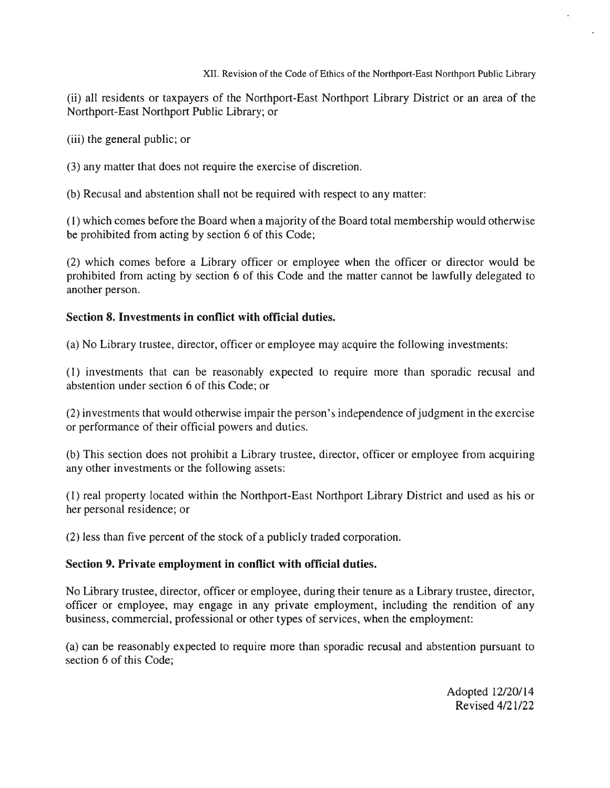(ii) all residents or taxpayers of the Northport-East Northport Library District or an area of the Northport-East Northport Public Library; or

(iii) the general public; or

(3) any matter that does not require the exercise of discretion.

(b) Recusal and abstention shall not be required with respect to any matter:

(1) which comes before the Board when <sup>a</sup> majority of the Board total membership would otherwise be prohibited from acting by section 6 of this Code;

(2) which comes before <sup>a</sup> Library officer or employee when the officer or director would be prohibited from acting by section 6 of this Code and the matter cannot be lawfully delegated to another person.

#### Section 8. Investments in conflict with official duties.

(a) No Library trustee, director, officer or employee may acquire the following investments:

(1) investments that can be reasonably expected to require more than sporadic recusal and abstention under section 6 of this Code; or

(2) investments that would otherwise impair the person's independence ofjudgment in the exercise or performance of their official powers and duties.

(b) This section does not prohibit <sup>a</sup> Library trustee, director, officer or employee from acquiring any other investments or the following assets:

(1) real property located within the Northport-East Northport Library District and used as his or her personal residence; or

(2) less than five percen<sup>t</sup> of the stock of <sup>a</sup> publicly traded corporation.

### Section 9. Private employment in conflict with official duties.

No Library trustee, director, officer or employee, during their tenure as <sup>a</sup> Library trustee, director, officer or employee, may engage in any private employment, including the rendition of any business, commercial, professional or other types of services, when the employment:

(a) can be reasonably expected to require more than sporadic recusal and abstention pursuan<sup>t</sup> to section 6 of this Code;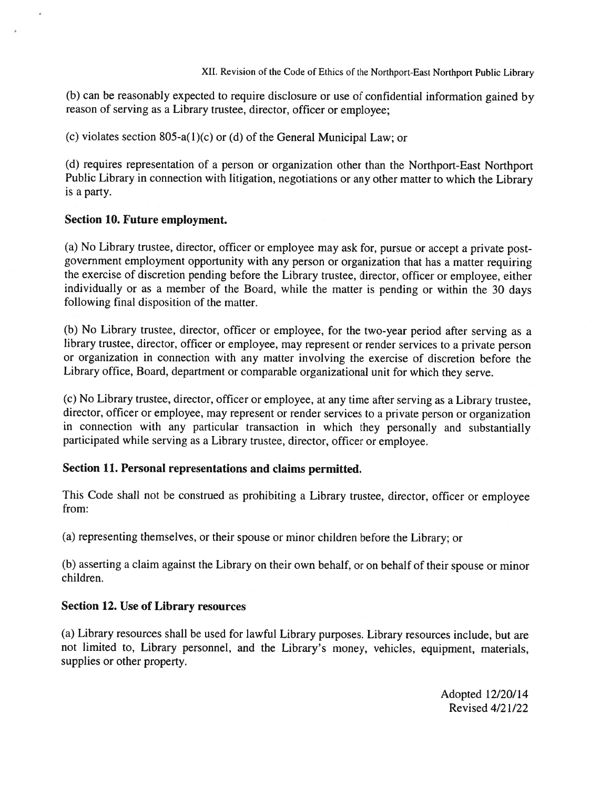(b) can be reasonably expected to require disclosure or use of confidential information gained by reason of serving as <sup>a</sup> Library trustee, director, officer or employee;

(c) violates section 805-a(1)(c) or (d) of the General Municipal Law; or

(d) requires representation of <sup>a</sup> person or organization other than the Northport-East Northport Public Library in connection with litigation, negotiations or any other matter to which the Library is <sup>a</sup> party.

#### Section 10. Future employment.

(a) No Library trustee, director, officer or employee may ask for, pursue or accep<sup>t</sup> <sup>a</sup> private postgovernmen<sup>t</sup> employment opportunity with any person or organization that has <sup>a</sup> matter requiring the exercise of discretion pending before the Library trustee, director, officer or employee, either individually or as <sup>a</sup> member of the Board, while the matter is pending or within the <sup>30</sup> days following final disposition of the matter.

(b) No Library trustee, director, officer or employee, for the two-year period after serving as <sup>a</sup> library trustee, director, officer or employee, may represen<sup>t</sup> or render services to <sup>a</sup> private person or organization in connection with any matter involving the exercise of discretion before the Library office, Board, department or comparable organizational unit for which they serve.

(c) No Library trustee, director, officer or employee, at any time after serving as <sup>a</sup> Library trustee, director, officer or employee, may represen<sup>t</sup> or render services to <sup>a</sup> private person or organization in connection with any particular transaction in which they personally and substantially participated while serving as <sup>a</sup> Library trustee, director, officer or employee.

#### Section 11. Personal representations and claims permitted.

This Code shall not be construed as prohibiting <sup>a</sup> Library trustee, director, officer or employee from:

(a) representing themselves, or their spouse or minor children before the Library; or

(b) asserting <sup>a</sup> claim against the Library on their own behalf, or on behalf of their spouse or minor children.

#### Section 12. Use of Library resources

(a) Library resources shall be used for lawful Library purposes. Library resources include, but are not limited to, Library personnel, and the Library's money, vehicles, equipment, materials, supplies or other property.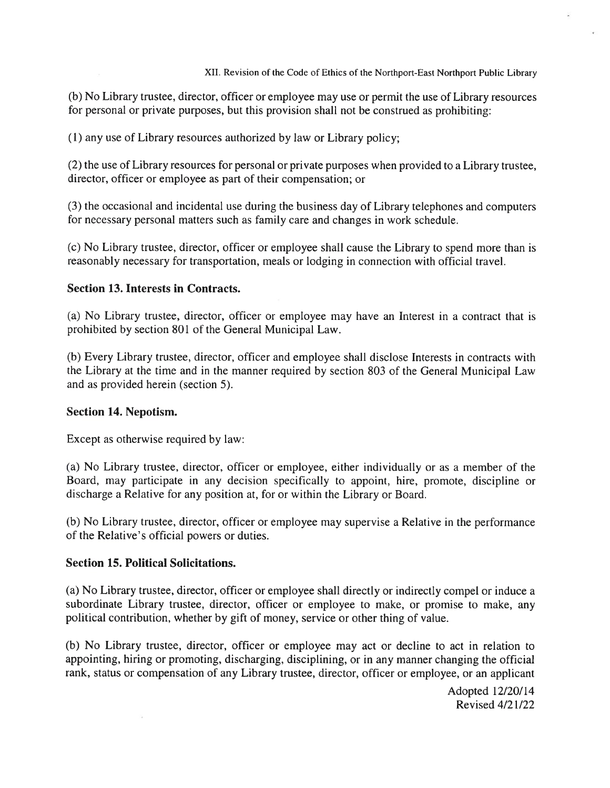(b) No Library trustee, director, officer or employee may use or permit the use of Library resources for personal or private purposes, but this provision shall not be construed as prohibiting:

(1) any use of Library resources authorized by law or Library policy;

(2) the use of Library resources for personal or private purposes when provided to <sup>a</sup> Library trustee, director, officer or employee as par<sup>t</sup> of their compensation; or

(3) the occasional and incidental use during the business day of Library telephones and computers for necessary personal matters such as family care and changes in work schedule.

(c) No Library trustee, director, officer or employee shall cause the Library to spend more than is reasonably necessary for transportation, meals or lodging in connection with official travel.

#### Section 13. Interests in Contracts.

(a) No Library trustee, director, officer or employee may have an Interest in <sup>a</sup> contract that is prohibited by section 801 of the General Municipal Law.

(b) Every Library trustee, director, officer and employee shall disclose Interests in contracts with the Library at the time and in the manner required by section 803 of the General Municipal Law and as provided herein (section 5).

#### Section 14. Nepotism.

Except as otherwise required by law:

(a) No Library trustee, director, officer or employee, either individually or as <sup>a</sup> member of the Board, may participate in any decision specifically to appoint, hire, promote, discipline or discharge <sup>a</sup> Relative for any position at, for or within the Library or Board.

(b) No Library trustee, director, officer or employee may supervise <sup>a</sup> Relative in the performance of the Relative's official powers or duties.

#### Section 15. Political Solicitations.

(a) No Library trustee, director, officer or employee shall directly or indirectly compel or induce <sup>a</sup> subordinate Library trustee, director, officer or employee to make, or promise to make, any political contribution, whether by <sup>g</sup>ift of money, service or other thing of value.

(b) No Library trustee, director, officer or employee may act or decline to act in relation to appointing, hiring or promoting, discharging, disciplining, or in any manner changing the official rank, status or compensation of any Library trustee, director, officer or employee, or an applicant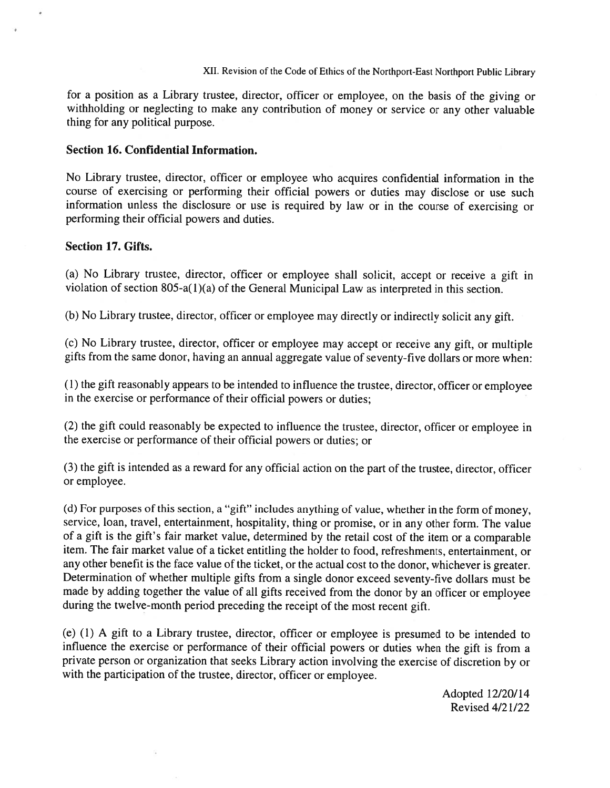for <sup>a</sup> position as <sup>a</sup> Library trustee, director, officer or employee, on the basis of the <sup>g</sup>iving or withholding or neglecting to make any contribution of money or service or any other valuable thing for any political purpose.

#### Section 16. Confidential Information.

No Library trustee, director, officer or employee who acquires confidential information in the course of exercising or performing their official powers or duties may disclose or use such information unless the disclosure or use is required by law or in the course of exercising or performing their official powers and duties.

#### Section 17. Gifts.

(a) No Library trustee, director, officer or employee shall solicit, accep<sup>t</sup> or receive <sup>a</sup> <sup>g</sup>ift in violation of section 805-a(l)(a) of the General Municipal Law as interpreted in this section.

(b) No Library trustee, director, officer or employee may directly or indirectly solicit any <sup>g</sup>ift.

(c) No Library trustee, director, officer or employee may accep<sup>t</sup> or receive any <sup>g</sup>ift, or multiple <sup>g</sup>ifts from the same donor, having an annual aggregate value of seventy-five dollars or more when:

(1) the <sup>g</sup>ift reasonably appears to be intended to influence the trustee, director, officer or employee in the exercise or performance of their official powers or duties;

(2) the <sup>g</sup>ift could reasonably be expected to influence the trustee, director, officer or employee in the exercise or performance of their official powers or duties; or

(3) the <sup>g</sup>ift is intended as <sup>a</sup> reward for any official action on the par<sup>t</sup> of the trustee, director, officer or employee.

(d) For purposes of this section, <sup>a</sup> "gift" includes anything of value, whether in the form of money, service, loan, travel, entertainment, hospitality, thing or promise, or in any other form. The value of <sup>a</sup> <sup>g</sup>ift is the <sup>g</sup>ift's fair market value, determined by the retail cost of the item or <sup>a</sup> comparable item. The fair market value of <sup>a</sup> ticket entitling the holder to food, refreshments, entertainment, or any other benefit is the face value of the ticket, or the actual cost to the donor, whichever is greater. Determination of whether multiple <sup>g</sup>ifts from <sup>a</sup> single donor exceed seventy-five dollars must be made by adding together the value of all <sup>g</sup>ifts received from the donor by an officer or employee during the twelve-month period preceding the receipt of the most recent <sup>g</sup>ift.

(e) (1) <sup>A</sup> <sup>g</sup>ift to <sup>a</sup> Library trustee, director, officer or employee is presume<sup>d</sup> to be intended to influence the exercise or performance of their official powers or duties when the <sup>g</sup>ift is from <sup>a</sup> private person or organization that seeks Library action involving the exercise of discretion by or with the participation of the trustee, director, officer or employee.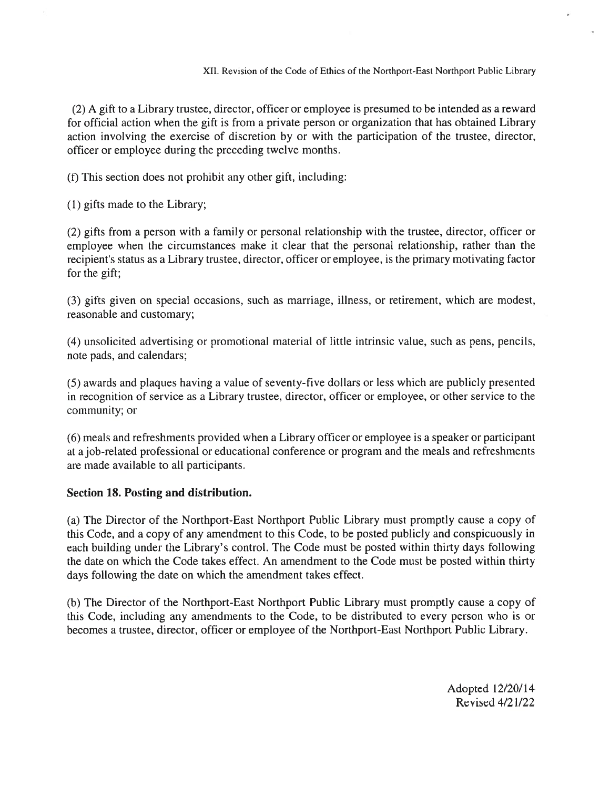(2) A gift to <sup>a</sup> Library trustee, director, officer or employee is presumed to be intended as <sup>a</sup> reward for official action when the gift is from <sup>a</sup> private person or organization that has obtained Library action involving the exercise of discretion by or with the participation of the trustee, director, officer or employee during the preceding twelve months.

(f) This section does not prohibit any other gift, including:

(1) gifts made to the Library;

(2) gifts from <sup>a</sup> person with <sup>a</sup> family or personal relationship with the trustee, director, officer or employee when the circumstances make it clear that the personal relationship, rather than the recipient's status as a Library trustee, director, officer or employee, is the primary motivating factor for the gift;

(3) gifts given on special occasions, such as marriage, illness, or retirement, which are modest, reasonable and customary;

(4) unsolicited advertising or promotional material of little intrinsic value, such as pens, pencils, note pads, and calendars;

(5) awards and plaques having <sup>a</sup> value of seventy-five dollars or less which are publicly presented in recognition of service as <sup>a</sup> Library trustee, director, officer or employee, or other service to the community; or

(6) meals and refreshments provided when <sup>a</sup> Library officer or employee is <sup>a</sup> speaker or participant at a job-related professional or educational conference or program and the meals and refreshments are made available to all participants.

#### Section 18. Posting and distribution.

(a) The Director of the Northport-East Northport Public Library must promptly cause <sup>a</sup> copy of this Code, and <sup>a</sup> copy of any amendment to this Code, to be posted publicly and conspicuously in each building under the Library's control. The Code must be posted within thirty days following the date on which the Code takes effect. An amendment to the Code must be posted within thirty days following the date on which the amendment takes effect.

(b) The Director of the Northport-East Northport Public Library must promptly cause <sup>a</sup> copy of this Code, including any amendments to the Code, to be distributed to every person who is or becomes a trustee, director, officer or employee of the Northport-East Northport Public Library.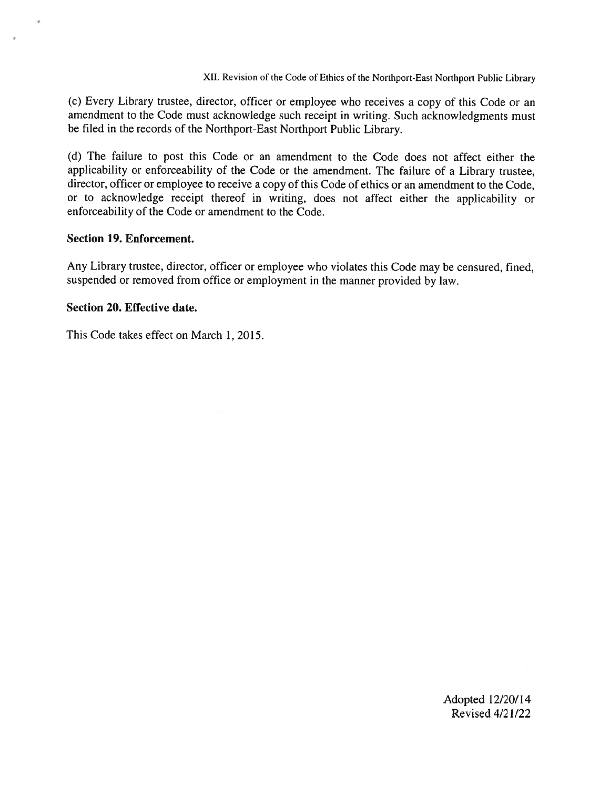(c) Every Library trustee, director, officer or employee who receives <sup>a</sup> copy of this Code or an amendment to the Code must acknowledge such receipt in writing. Such acknowledgments must be filed in the records of the Northport-East Northport Public Library.

(d) The failure to pos<sup>t</sup> this Code or an amendment to the Code does not affect either the applicability or enforceability of the Code or the amendment. The failure of <sup>a</sup> Library trustee, director, officer or employee to receive <sup>a</sup> copy of this Code of ethics or an amendment to the Code, or to acknowledge receipt thereof in writing, does not affect either the applicability or enforceability of the Code or amendment to the Code.

#### Section 19. Enforcement.

Any Library trustee, director, officer or employee who violates this Code may be censured, fined, suspended or removed from office or employment in the manner provided by law.

#### Section 20. Effective date.

This Code takes effect on March 1, 2015.